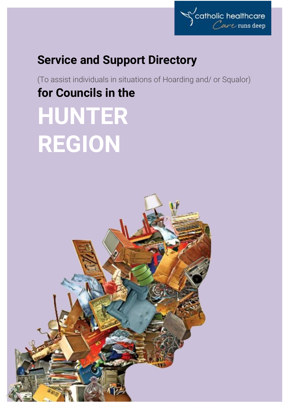

# **Service and Support Directory**

(To assist individuals in situations of Hoarding and/ or Squalor) **for Councils in the HUNTER REGION**

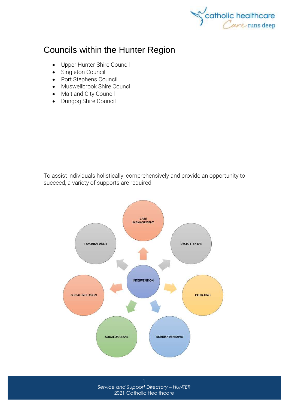

# Councils within the Hunter Region

- [Upper Hunter Shire Council](http://upperhunter.nsw.gov.au/)
- [Singleton Council](http://www.singleton.nsw.gov.au/)
- [Port Stephens Council](http://www.portstephens.nsw.gov.au/)
- [Muswellbrook Shire Council](http://www.muswellbrook.nsw.gov.au/)
- [Maitland City Council](http://www.maitland.nsw.gov.au/)
- [Dungog Shire Council](http://www.dungog.nsw.gov.au/)

To assist individuals holistically, comprehensively and provide an opportunity to succeed, a variety of supports are required.



*Service and Support Directory – HUNTER* 2021 Catholic Healthcare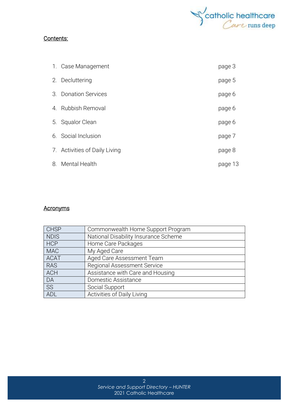

#### Contents:

| 1. Case Management            | page 3  |
|-------------------------------|---------|
| 2. Decluttering               | page 5  |
| 3. Donation Services          | page 6  |
| 4. Rubbish Removal            | page 6  |
| 5. Squalor Clean              | page 6  |
| 6. Social Inclusion           | page 7  |
| 7. Activities of Daily Living | page 8  |
| 8. Mental Health              | page 13 |

## **Acronyms**

| <b>CHSP</b> | Commonwealth Home Support Program    |
|-------------|--------------------------------------|
| <b>NDIS</b> | National Disability Insurance Scheme |
| <b>HCP</b>  | Home Care Packages                   |
| <b>MAC</b>  | My Aged Care                         |
| <b>ACAT</b> | Aged Care Assessment Team            |
| <b>RAS</b>  | <b>Regional Assessment Service</b>   |
| <b>ACH</b>  | Assistance with Care and Housing     |
| DA          | Domestic Assistance                  |
| SS          | Social Support                       |
| ADL         | Activities of Daily Living           |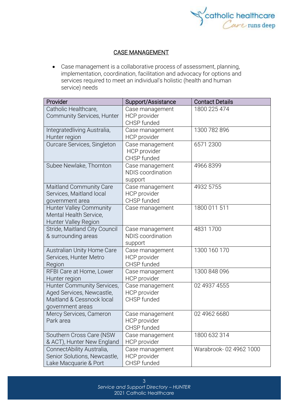

#### CASE MANAGEMENT

• Case management is a collaborative process of assessment, planning, implementation, coordination, facilitation and advocacy for options and services required to meet an individual's holistic (health and human service) needs

| Provider                                              | Support/Assistance                          | <b>Contact Details</b> |
|-------------------------------------------------------|---------------------------------------------|------------------------|
| Catholic Healthcare,                                  | Case management                             | 1800 225 474           |
| Community Services, Hunter                            | HCP provider<br>CHSP funded                 |                        |
| Integratedliving Australia,                           | Case management                             | 1300 782 896           |
| Hunter region                                         | HCP provider                                |                        |
| Ourcare Services, Singleton                           | Case management                             | 6571 2300              |
|                                                       | HCP provider<br>CHSP funded                 |                        |
| Subee Newlake, Thornton                               | Case management<br><b>NDIS</b> coordination | 49668399               |
|                                                       | support                                     |                        |
| <b>Maitland Community Care</b>                        | Case management                             | 4932 5755              |
| Services, Maitland local                              | HCP provider                                |                        |
| government area                                       | CHSP funded                                 |                        |
| <b>Hunter Valley Community</b>                        | Case management                             | 1800 011 511           |
| Mental Health Service,<br><b>Hunter Valley Region</b> |                                             |                        |
| Stride, Maitland City Council                         | Case management                             | 4831 1700              |
| & surrounding areas                                   | <b>NDIS</b> coordination                    |                        |
|                                                       | support                                     |                        |
| Australian Unity Home Care                            | Case management                             | 1300 160 170           |
| Services, Hunter Metro                                | HCP provider                                |                        |
| Region                                                | CHSP funded                                 | 1300 848 096           |
| RFBI Care at Home, Lower<br>Hunter region             | Case management<br>HCP provider             |                        |
| Hunter Community Services,                            | Case management                             | 02 4937 4555           |
| Aged Services, Newcastle,                             | HCP provider                                |                        |
| Maitland & Cessnock local                             | CHSP funded                                 |                        |
| government areas                                      |                                             |                        |
| Mercy Services, Cameron<br>Park area                  | Case management<br>HCP provider             | 02 4962 6680           |
|                                                       | CHSP funded                                 |                        |
| Southern Cross Care (NSW                              | Case management                             | 1800 632 314           |
| & ACT), Hunter New England                            | HCP provider                                |                        |
| ConnectAbility Australia,                             | Case management                             | Warabrook-02 4962 1000 |
| Senior Solutions, Newcastle,                          | HCP provider                                |                        |
| Lake Macquarie & Port                                 | CHSP funded                                 |                        |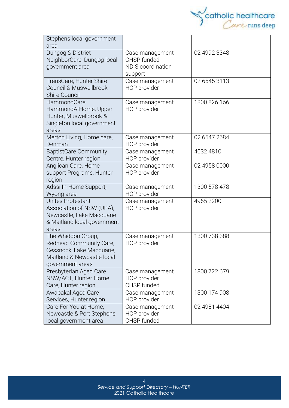

| Stephens local government<br>area                                                                                            |                                                                       |              |
|------------------------------------------------------------------------------------------------------------------------------|-----------------------------------------------------------------------|--------------|
| Dungog & District<br>NeighborCare, Dungog local<br>government area                                                           | Case management<br>CHSP funded<br><b>NDIS</b> coordination<br>support | 02 4992 3348 |
| TransCare, Hunter Shire<br>Council & Muswellbrook<br><b>Shire Council</b>                                                    | Case management<br>HCP provider                                       | 02 6545 3113 |
| HammondCare,<br>HammondAtHome, Upper<br>Hunter, Muswellbrook &<br>Singleton local government<br>areas                        | Case management<br>HCP provider                                       | 1800 826 166 |
| Merton Living, Home care,<br>Denman                                                                                          | Case management<br>HCP provider                                       | 02 6547 2684 |
| <b>BaptistCare Community</b><br>Centre, Hunter region                                                                        | Case management<br><b>HCP</b> provider                                | 4032 4810    |
| Anglican Care, Home<br>support Programs, Hunter<br>region                                                                    | Case management<br>HCP provider                                       | 02 4958 0000 |
| Adssi In-Home Support,<br>Wyong area                                                                                         | Case management<br><b>HCP</b> provider                                | 1300 578 478 |
| <b>Unites Protestant</b><br>Association of NSW (UPA),<br>Newcastle, Lake Macquarie<br>& Maitland local government<br>areas   | Case management<br>HCP provider                                       | 4965 2200    |
| The Whiddon Group,<br>Redhead Community Care,<br>Cessnock, Lake Macquarie,<br>Maitland & Newcastle local<br>government areas | Case management<br>HCP provider                                       | 1300 738 388 |
| Presbyterian Aged Care<br>NSW/ACT, Hunter Home<br>Care, Hunter region                                                        | Case management<br>HCP provider<br>CHSP funded                        | 1800 722 679 |
| Awabakal Aged Care<br>Services, Hunter region                                                                                | Case management<br>HCP provider                                       | 1300 174 908 |
| Care For You at Home,<br>Newcastle & Port Stephens<br>local government area                                                  | Case management<br>HCP provider<br>CHSP funded                        | 02 4981 4404 |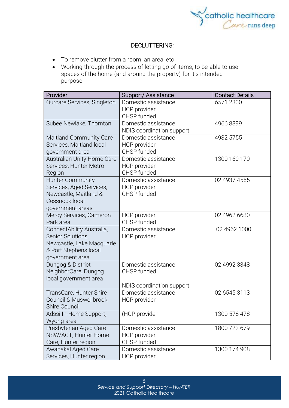

#### DECLUTTERING:

- To remove clutter from a room, an area, etc
- Working through the process of letting go of items, to be able to use spaces of the home (and around the property) for it's intended purpose

| Provider                                       | Support/Assistance          | <b>Contact Details</b> |
|------------------------------------------------|-----------------------------|------------------------|
| Ourcare Services, Singleton                    | Domestic assistance         | 6571 2300              |
|                                                | HCP provider                |                        |
|                                                | CHSP funded                 |                        |
| Subee Newlake, Thornton                        | Domestic assistance         | 49668399               |
|                                                | NDIS coordination support   |                        |
| <b>Maitland Community Care</b>                 | Domestic assistance         | 4932 5755              |
| Services, Maitland local                       | HCP provider                |                        |
| government area                                | CHSP funded                 |                        |
| <b>Australian Unity Home Care</b>              | Domestic assistance         | 1300 160 170           |
| Services, Hunter Metro                         | HCP provider                |                        |
| Region                                         | CHSP funded                 |                        |
| <b>Hunter Community</b>                        | Domestic assistance         | 02 4937 4555           |
| Services, Aged Services,                       | HCP provider                |                        |
| Newcastle, Maitland &                          | CHSP funded                 |                        |
| Cessnock local                                 |                             |                        |
| government areas                               |                             |                        |
| Mercy Services, Cameron<br>Park area           | HCP provider<br>CHSP funded | 02 4962 6680           |
|                                                | Domestic assistance         | 02 4962 1000           |
| ConnectAbility Australia,<br>Senior Solutions, |                             |                        |
| Newcastle, Lake Macquarie                      | HCP provider                |                        |
| & Port Stephens local                          |                             |                        |
| government area                                |                             |                        |
| Dungog & District                              | Domestic assistance         | 02 4992 3348           |
| NeighborCare, Dungog                           | CHSP funded                 |                        |
| local government area                          |                             |                        |
|                                                | NDIS coordination support   |                        |
| TransCare, Hunter Shire                        | Domestic assistance         | 02 6545 3113           |
| Council & Muswellbrook                         | HCP provider                |                        |
| <b>Shire Council</b>                           |                             |                        |
| Adssi In-Home Support,                         | (HCP provider               | 1300 578 478           |
| Wyong area                                     |                             |                        |
| Presbyterian Aged Care                         | Domestic assistance         | 1800 722 679           |
| NSW/ACT, Hunter Home                           | HCP provider                |                        |
| Care, Hunter region                            | CHSP funded                 |                        |
| Awabakal Aged Care                             | Domestic assistance         | 1300 174 908           |
| Services, Hunter region                        | HCP provider                |                        |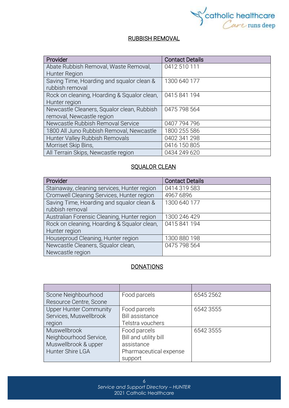

## RUBBISH REMOVAL

| Provider                                    | <b>Contact Details</b> |
|---------------------------------------------|------------------------|
| Abate Rubbish Removal, Waste Removal,       | 0412 510 111           |
| Hunter Region                               |                        |
| Saving Time, Hoarding and squalor clean &   | 1300 640 177           |
| rubbish removal                             |                        |
| Rock on cleaning, Hoarding & Squalor clean, | 0415841194             |
| Hunter region                               |                        |
| Newcastle Cleaners, Squalor clean, Rubbish  | 0475 798 564           |
| removal, Newcastle region                   |                        |
| Newcastle Rubbish Removal Service           | 0407 794 796           |
| 1800 All Juno Rubbish Removal, Newcastle    | 1800 255 586           |
| Hunter Valley Rubbish Removals              | 0402 341 298           |
| Morriset Skip Bins,                         | 0416 150 805           |
| All Terrain Skips, Newcastle region         | 0434 249 620           |

### **SQUALOR CLEAN**

| Provider                                    | <b>Contact Details</b> |
|---------------------------------------------|------------------------|
| Stainaway, cleaning services, Hunter region | 0414 319 583           |
| Cromwell Cleaning Services, Hunter region   | 4967 6896              |
| Saving Time, Hoarding and squalor clean &   | 1300 640 177           |
| rubbish removal                             |                        |
| Australian Forensic Cleaning, Hunter region | 1300 246 429           |
| Rock on cleaning, Hoarding & Squalor clean, | 0415841194             |
| Hunter region                               |                        |
| Houseproud Cleaning, Hunter region          | 1300 880 198           |
| Newcastle Cleaners, Squalor clean,          | 0475 798 564           |
| Newcastle region                            |                        |

# **DONATIONS**

| Scone Neighbourhood           | Food parcels           | 6545 2562 |
|-------------------------------|------------------------|-----------|
| Resource Centre, Scone        |                        |           |
| <b>Upper Hunter Community</b> | Food parcels           | 6542 3555 |
| Services, Muswellbrook        | <b>Bill assistance</b> |           |
| region                        | Telstra vouchers       |           |
| Muswellbrook                  | Food parcels           | 6542 3555 |
| Neighbourhood Service,        | Bill and utility bill  |           |
| Muswellbrook & upper          | assistance             |           |
| Hunter Shire LGA              | Pharmaceutical expense |           |
|                               | support                |           |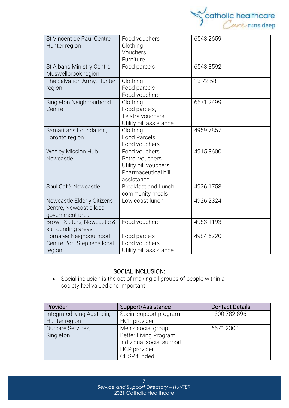

| St Vincent de Paul Centre,<br>Hunter region                              | Food vouchers<br>Clothing<br>Vouchers<br>Furniture                                             | 6543 2659 |
|--------------------------------------------------------------------------|------------------------------------------------------------------------------------------------|-----------|
| St Albans Ministry Centre,<br>Muswellbrook region                        | Food parcels                                                                                   | 6543 3592 |
| The Salvation Army, Hunter<br>region                                     | Clothing<br>Food parcels<br>Food vouchers                                                      | 137258    |
| Singleton Neighbourhood<br>Centre                                        | Clothing<br>Food parcels,<br>Telstra vouchers<br>Utility bill assistance                       | 6571 2499 |
| Samaritans Foundation,<br>Toronto region                                 | Clothing<br><b>Food Parcels</b><br>Food vouchers                                               | 4959 7857 |
| Wesley Mission Hub<br>Newcastle                                          | Food vouchers<br>Petrol vouchers<br>Utility bill vouchers<br>Pharmaceutical bill<br>assistance | 49153600  |
| Soul Café, Newcastle                                                     | <b>Breakfast and Lunch</b><br>community meals                                                  | 4926 1758 |
| Newcastle Elderly Citizens<br>Centre, Newcastle local<br>government area | Low coast lunch                                                                                | 4926 2324 |
| Brown Sisters, Newcastle &<br>surrounding areas                          | Food vouchers                                                                                  | 4963 1193 |
| Tomaree Neighbourhood<br>Centre Port Stephens local<br>region            | Food parcels<br>Food vouchers<br>Utility bill assistance                                       | 4984 6220 |

# SOCIAL INCLUSION:

• Social [inclusion](https://www.collinsdictionary.com/dictionary/english/inclusion) is the act of making all groups of people within a society [feel](https://www.collinsdictionary.com/dictionary/english/feel) valued and [important.](https://www.collinsdictionary.com/dictionary/english/important)

| Provider                    | Support/Assistance        | <b>Contact Details</b> |
|-----------------------------|---------------------------|------------------------|
| Integratedliving Australia, | Social support program    | 1300 782 896           |
| Hunter region               | HCP provider              |                        |
| Ourcare Services,           | Men's social group        | 6571 2300              |
| Singleton                   | Better Living Program     |                        |
|                             | Individual social support |                        |
|                             | HCP provider              |                        |
|                             | CHSP funded               |                        |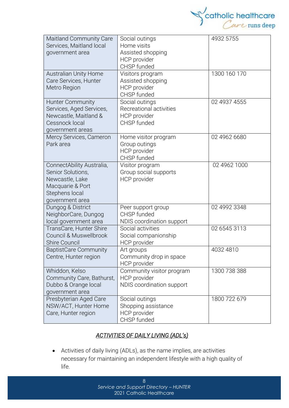

| <b>Maitland Community Care</b><br>Services, Maitland local<br>government area                                              | Social outings<br>Home visits<br>Assisted shopping<br>HCP provider<br>CHSP funded | 4932 5755    |
|----------------------------------------------------------------------------------------------------------------------------|-----------------------------------------------------------------------------------|--------------|
| Australian Unity Home<br>Care Services, Hunter<br>Metro Region                                                             | Visitors program<br>Assisted shopping<br>HCP provider<br>CHSP funded              | 1300 160 170 |
| <b>Hunter Community</b><br>Services, Aged Services,<br>Newcastle, Maitland &<br>Cessnock local<br>government areas         | Social outings<br>Recreational activities<br><b>HCP</b> provider<br>CHSP funded   | 02 4937 4555 |
| Mercy Services, Cameron<br>Park area                                                                                       | Home visitor program<br>Group outings<br>HCP provider<br>CHSP funded              | 02 4962 6680 |
| ConnectAbility Australia,<br>Senior Solutions,<br>Newcastle, Lake<br>Macquarie & Port<br>Stephens local<br>government area | Visitor program<br>Group social supports<br>HCP provider                          | 02 4962 1000 |
| Dungog & District<br>NeighborCare, Dungog<br>local government area                                                         | Peer support group<br>CHSP funded<br>NDIS coordination support                    | 02 4992 3348 |
| TransCare, Hunter Shire<br>Council & Muswellbrook<br><b>Shire Council</b>                                                  | Social activities<br>Social companionship<br>HCP provider                         | 02 6545 3113 |
| <b>BaptistCare Community</b><br>Centre, Hunter region                                                                      | Art groups<br>Community drop in space<br><b>HCP</b> provider                      | 4032 4810    |
| Whiddon, Kelso<br>Community Care, Bathurst,<br>Dubbo & Orange local<br>government area                                     | Community visitor program<br><b>HCP</b> provider<br>NDIS coordination support     | 1300 738 388 |
| Presbyterian Aged Care<br>NSW/ACT, Hunter Home<br>Care, Hunter region                                                      | Social outings<br>Shopping assistance<br><b>HCP</b> provider<br>CHSP funded       | 1800 722 679 |

# *ACTIVITIES OF DAILY LIVING (ADL's)*

• Activities of daily living (ADLs), as the name implies, are activities necessary for maintaining an independent lifestyle with a high quality of life.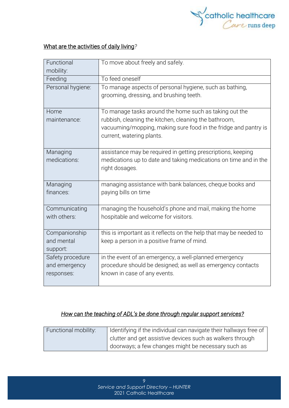

# What are the activities of daily living*?*

| Functional<br>mobility: | To move about freely and safely.                                                                   |
|-------------------------|----------------------------------------------------------------------------------------------------|
| Feeding                 | To feed oneself                                                                                    |
| Personal hygiene:       | To manage aspects of personal hygiene, such as bathing,<br>grooming, dressing, and brushing teeth. |
| Home                    | To manage tasks around the home such as taking out the                                             |
| maintenance:            | rubbish, cleaning the kitchen, cleaning the bathroom,                                              |
|                         | vacuuming/mopping, making sure food in the fridge and pantry is<br>current, watering plants.       |
| Managing                | assistance may be required in getting prescriptions, keeping                                       |
| medications:            | medications up to date and taking medications on time and in the                                   |
|                         | right dosages.                                                                                     |
| Managing                | managing assistance with bank balances, cheque books and                                           |
| finances:               | paying bills on time                                                                               |
| Communicating           | managing the household's phone and mail, making the home                                           |
| with others:            | hospitable and welcome for visitors.                                                               |
| Companionship           | this is important as it reflects on the help that may be needed to                                 |
| and mental              | keep a person in a positive frame of mind.                                                         |
| support:                |                                                                                                    |
| Safety procedure        | in the event of an emergency, a well-planned emergency                                             |
| and emergency           | procedure should be designed; as well as emergency contacts                                        |
| responses:              | known in case of any events.                                                                       |
|                         |                                                                                                    |

# *How can the teaching of ADL's be done through regular support services?*

| Functional mobility: | Identifying if the individual can navigate their hallways free of |
|----------------------|-------------------------------------------------------------------|
|                      | clutter and get assistive devices such as walkers through         |
|                      | doorways; a few changes might be necessary such as                |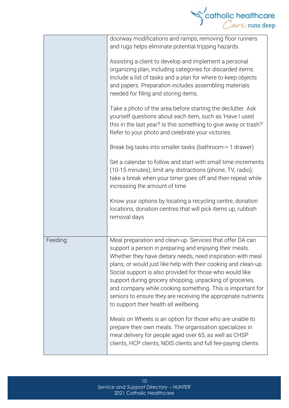

|          | doorway modifications and ramps; removing floor runners<br>and rugs helps eliminate potential tripping hazards.<br>Assisting a client to develop and implement a personal<br>organizing plan, including categories for discarded items.<br>Include a list of tasks and a plan for where to keep objects<br>and papers. Preparation includes assembling materials<br>needed for filing and storing items.<br>Take a photo of the area before starting the declutter. Ask<br>yourself questions about each item, such as 'Have I used                      |
|----------|----------------------------------------------------------------------------------------------------------------------------------------------------------------------------------------------------------------------------------------------------------------------------------------------------------------------------------------------------------------------------------------------------------------------------------------------------------------------------------------------------------------------------------------------------------|
|          | this in the last year? Is this something to give away or trash?'<br>Refer to your photo and celebrate your victories.                                                                                                                                                                                                                                                                                                                                                                                                                                    |
|          | Break big tasks into smaller tasks (bathroom-> 1 drawer)                                                                                                                                                                                                                                                                                                                                                                                                                                                                                                 |
|          | Set a calendar to follow and start with small time increments<br>(10-15 minutes); limit any distractions (phone, TV, radio);<br>take a break when your timer goes off and then repeat while<br>increasing the amount of time                                                                                                                                                                                                                                                                                                                             |
|          | Know your options by locating a recycling centre, donation<br>locations, donation centres that will pick items up, rubbish<br>removal days                                                                                                                                                                                                                                                                                                                                                                                                               |
| Feeding: | Meal preparation and clean-up. Services that offer DA can<br>support a person in preparing and enjoying their meals.<br>Whether they have dietary needs, need inspiration with meal<br>plans, or would just like help with their cooking and clean-up.<br>Social support is also provided for those who would like<br>support during grocery shopping, unpacking of groceries,<br>and company while cooking something. This is important for<br>seniors to ensure they are receiving the appropriate nutrients<br>to support their health all wellbeing. |
|          | Meals on Wheels is an option for those who are unable to<br>prepare their own meals. The organisation specializes in<br>meal delivery for people aged over 65, as well as CHSP<br>clients, HCP clients, NDIS clients and full fee-paying clients.                                                                                                                                                                                                                                                                                                        |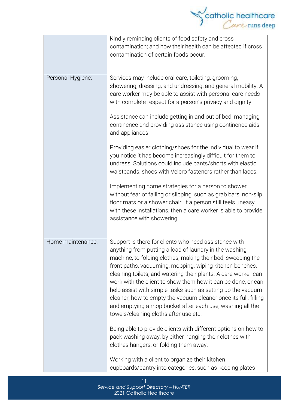

|                   | Kindly reminding clients of food safety and cross<br>contamination; and how their health can be affected if cross<br>contamination of certain foods occur.                                                                                                                                                                                                                                                                                                                                                                                                                                                           |
|-------------------|----------------------------------------------------------------------------------------------------------------------------------------------------------------------------------------------------------------------------------------------------------------------------------------------------------------------------------------------------------------------------------------------------------------------------------------------------------------------------------------------------------------------------------------------------------------------------------------------------------------------|
| Personal Hygiene: | Services may include oral care, toileting, grooming,<br>showering, dressing, and undressing, and general mobility. A<br>care worker may be able to assist with personal care needs<br>with complete respect for a person's privacy and dignity.                                                                                                                                                                                                                                                                                                                                                                      |
|                   | Assistance can include getting in and out of bed, managing<br>continence and providing assistance using continence aids<br>and appliances.                                                                                                                                                                                                                                                                                                                                                                                                                                                                           |
|                   | Providing easier clothing/shoes for the individual to wear if<br>you notice it has become increasingly difficult for them to<br>undress. Solutions could include pants/shorts with elastic<br>waistbands, shoes with Velcro fasteners rather than laces.                                                                                                                                                                                                                                                                                                                                                             |
|                   | Implementing home strategies for a person to shower<br>without fear of falling or slipping, such as grab bars, non-slip<br>floor mats or a shower chair. If a person still feels uneasy<br>with these installations, then a care worker is able to provide<br>assistance with showering.                                                                                                                                                                                                                                                                                                                             |
| Home maintenance: | Support is there for clients who need assistance with<br>anything from putting a load of laundry in the washing<br>machine, to folding clothes, making their bed, sweeping the<br>front paths, vacuuming, mopping, wiping kitchen benches,<br>cleaning toilets, and watering their plants. A care worker can<br>work with the client to show them how it can be done, or can<br>help assist with simple tasks such as setting up the vacuum<br>cleaner, how to empty the vacuum cleaner once its full, filling<br>and emptying a mop bucket after each use, washing all the<br>towels/cleaning cloths after use etc. |
|                   | Being able to provide clients with different options on how to<br>pack washing away, by either hanging their clothes with<br>clothes hangers, or folding them away.                                                                                                                                                                                                                                                                                                                                                                                                                                                  |
|                   | Working with a client to organize their kitchen<br>cupboards/pantry into categories, such as keeping plates                                                                                                                                                                                                                                                                                                                                                                                                                                                                                                          |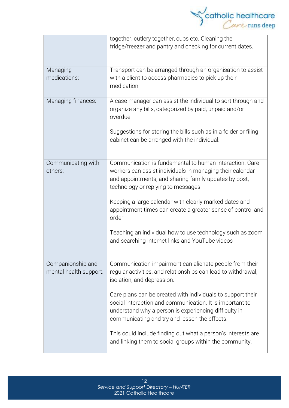

|                                             | together, cutlery together, cups etc. Cleaning the<br>fridge/freezer and pantry and checking for current dates.                                                                                                                   |  |
|---------------------------------------------|-----------------------------------------------------------------------------------------------------------------------------------------------------------------------------------------------------------------------------------|--|
| Managing<br>medications:                    | Transport can be arranged through an organisation to assist<br>with a client to access pharmacies to pick up their<br>medication.                                                                                                 |  |
| Managing finances:                          | A case manager can assist the individual to sort through and<br>organize any bills, categorized by paid, unpaid and/or<br>overdue.                                                                                                |  |
|                                             | Suggestions for storing the bills such as in a folder or filing<br>cabinet can be arranged with the individual.                                                                                                                   |  |
| Communicating with<br>others:               | Communication is fundamental to human interaction. Care<br>workers can assist individuals in managing their calendar<br>and appointments, and sharing family updates by post,<br>technology or replying to messages               |  |
|                                             | Keeping a large calendar with clearly marked dates and<br>appointment times can create a greater sense of control and<br>order.                                                                                                   |  |
|                                             | Teaching an individual how to use technology such as zoom<br>and searching internet links and YouTube videos                                                                                                                      |  |
| Companionship and<br>mental health support: | Communication impairment can alienate people from their<br>regular activities, and relationships can lead to withdrawal,<br>isolation, and depression.                                                                            |  |
|                                             | Care plans can be created with individuals to support their<br>social interaction and communication. It is important to<br>understand why a person is experiencing difficulty in<br>communicating and try and lessen the effects. |  |
|                                             | This could include finding out what a person's interests are<br>and linking them to social groups within the community.                                                                                                           |  |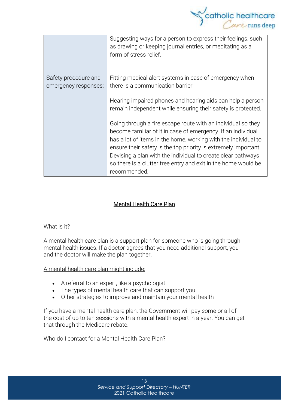

|                      | Suggesting ways for a person to express their feelings, such<br>as drawing or keeping journal entries, or meditating as a<br>form of stress relief. |
|----------------------|-----------------------------------------------------------------------------------------------------------------------------------------------------|
| Safety procedure and | Fitting medical alert systems in case of emergency when                                                                                             |
| emergency responses: | there is a communication barrier                                                                                                                    |
|                      | Hearing impaired phones and hearing aids can help a person                                                                                          |
|                      | remain independent while ensuring their safety is protected.                                                                                        |
|                      | Going through a fire escape route with an individual so they                                                                                        |
|                      | become familiar of it in case of emergency. If an individual                                                                                        |
|                      | has a lot of items in the home, working with the individual to                                                                                      |
|                      | ensure their safety is the top priority is extremely important.                                                                                     |
|                      | Devising a plan with the individual to create clear pathways                                                                                        |
|                      | so there is a clutter free entry and exit in the home would be                                                                                      |
|                      | recommended.                                                                                                                                        |

# Mental Health Care Plan

#### What is it?

A mental health care plan is a support plan for someone who is going through mental health issues. If a doctor agrees that you need additional support, you and the doctor will make the plan together.

A mental health care plan might include:

- A referral to an expert, like a psychologist
- The types of mental health care that can support you
- Other strategies to improve and maintain your mental health

If you have a mental health care plan, the Government will pay some or all of the cost of up to ten sessions with a mental health expert in a year. You can get that through the [Medicare](https://headspace.org.au/blog/how-to-get-a-medicare-card-old/) rebate.

Who do I contact for a Mental Health Care Plan?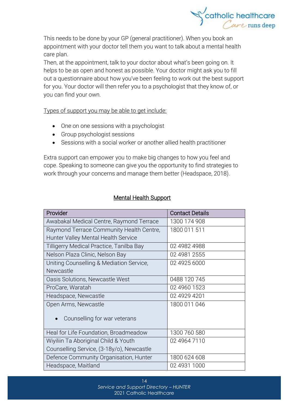

This needs to be done by your GP (general practitioner). When you book an appointment with your doctor tell them you want to talk about a mental health care plan.

Then, at the appointment, talk to your doctor about what's been going on. It helps to be as open and honest as possible. Your doctor might ask you to fill out a questionnaire about how you've been feeling to work out the best support for you. Your doctor will then refer you to a psychologist that they know of, or you can find your own.

Types of support you may be able to get include:

- One on one sessions with a psychologist
- Group psychologist sessions
- Sessions with a social worker or another allied health practitioner

Extra support can empower you to make big changes to how you feel and cope. Speaking to someone can give you the opportunity to find strategies to work through your concerns and manage them better (Headspace, 2018).

| Provider                                  | <b>Contact Details</b> |
|-------------------------------------------|------------------------|
| Awabakal Medical Centre, Raymond Terrace  | 1300 174 908           |
| Raymond Terrace Community Health Centre,  | 1800 011 511           |
| Hunter Valley Mental Health Service       |                        |
| Tilligerry Medical Practice, Tanilba Bay  | 02 4982 4988           |
| Nelson Plaza Clinic, Nelson Bay           | 02 4981 2555           |
| Uniting Counselling & Mediation Service,  | 02 4925 6000           |
| Newcastle                                 |                        |
| Oasis Solutions, Newcastle West           | 0488 120 745           |
| ProCare, Waratah                          | 02 4960 1523           |
| Headspace, Newcastle                      | 02 4929 4201           |
| Open Arms, Newcastle                      | 1800 011 046           |
| Counselling for war veterans              |                        |
| Heal for Life Foundation, Broadmeadow     | 1300 760 580           |
| Wiyiliin Ta Aboriginal Child & Youth      | 02 4964 7110           |
| Counselling Service, (3-18y/o), Newcastle |                        |
| Defence Community Organisation, Hunter    | 1800 624 608           |
| Headspace, Maitland                       | 02 4931 1000           |

# Mental Health Support